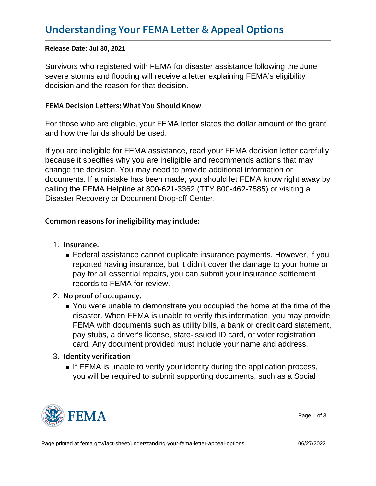Release Date: Jul 30, 2021

Survivors who registered with FEMA for disaster assistance following the June severe storms and flooding will receive a letter explaining FEMA's eligibility decision and the reason for that decision.

## FEMA Decision Letters: What You Should Know

For those who are eligible, your FEMA letter states the dollar amount of the grant and how the funds should be used.

If you are ineligible for FEMA assistance, read your FEMA decision letter carefully because it specifies why you are ineligible and recommends actions that may change the decision. You may need to provide additional information or documents. If a mistake has been made, you should let FEMA know right away by calling the FEMA Helpline at 800-621-3362 (TTY 800-462-7585) or visiting a Disaster Recovery or Document Drop-off Center.

Common reasons for ineligibility may include:

- 1. Insurance.
	- Federal assistance cannot duplicate insurance payments. However, if you reported having insurance, but it didn't cover the damage to your home or pay for all essential repairs, you can submit your insurance settlement records to FEMA for review.
- 2. No proof of occupancy.
	- You were unable to demonstrate you occupied the home at the time of the disaster. When FEMA is unable to verify this information, you may provide FEMA with documents such as utility bills, a bank or credit card statement, pay stubs, a driver's license, state-issued ID card, or voter registration card. Any document provided must include your name and address.
- 3. Identity verification
	- If FEMA is unable to verify your identity during the application process, you will be required to submit supporting documents, such as a Social



Page 1 of 3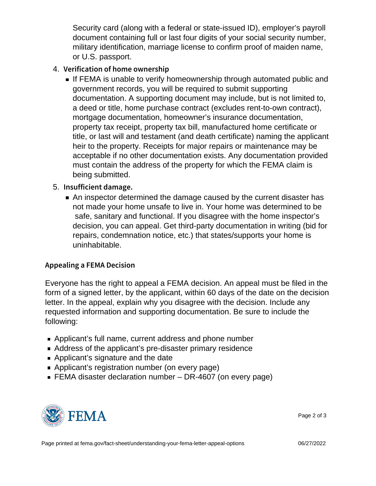Security card (along with a federal or state-issued ID), employer's payroll document containing full or last four digits of your social security number, military identification, marriage license to confirm proof of maiden name, or U.S. passport.

- 4. Verification of home ownership
	- **If FEMA is unable to verify homeownership through automated public and** government records, you will be required to submit supporting documentation. A supporting document may include, but is not limited to, a deed or title, home purchase contract (excludes rent-to-own contract), mortgage documentation, homeowner's insurance documentation, property tax receipt, property tax bill, manufactured home certificate or title, or last will and testament (and death certificate) naming the applicant heir to the property. Receipts for major repairs or maintenance may be acceptable if no other documentation exists. Any documentation provided must contain the address of the property for which the FEMA claim is being submitted.
- 5. Insufficient damage.
	- An inspector determined the damage caused by the current disaster has not made your home unsafe to live in. Your home was determined to be safe, sanitary and functional. If you disagree with the home inspector's decision, you can appeal. Get third-party documentation in writing (bid for repairs, condemnation notice, etc.) that states/supports your home is uninhabitable.

## Appealing a FEMA Decision

Everyone has the right to appeal a FEMA decision. An appeal must be filed in the form of a signed letter, by the applicant, within 60 days of the date on the decision letter. In the appeal, explain why you disagree with the decision. Include any requested information and supporting documentation. Be sure to include the following:

- Applicant's full name, current address and phone number
- Address of the applicant's pre-disaster primary residence
- Applicant's signature and the date
- **Applicant's registration number (on every page)**
- FEMA disaster declaration number DR-4607 (on every page)